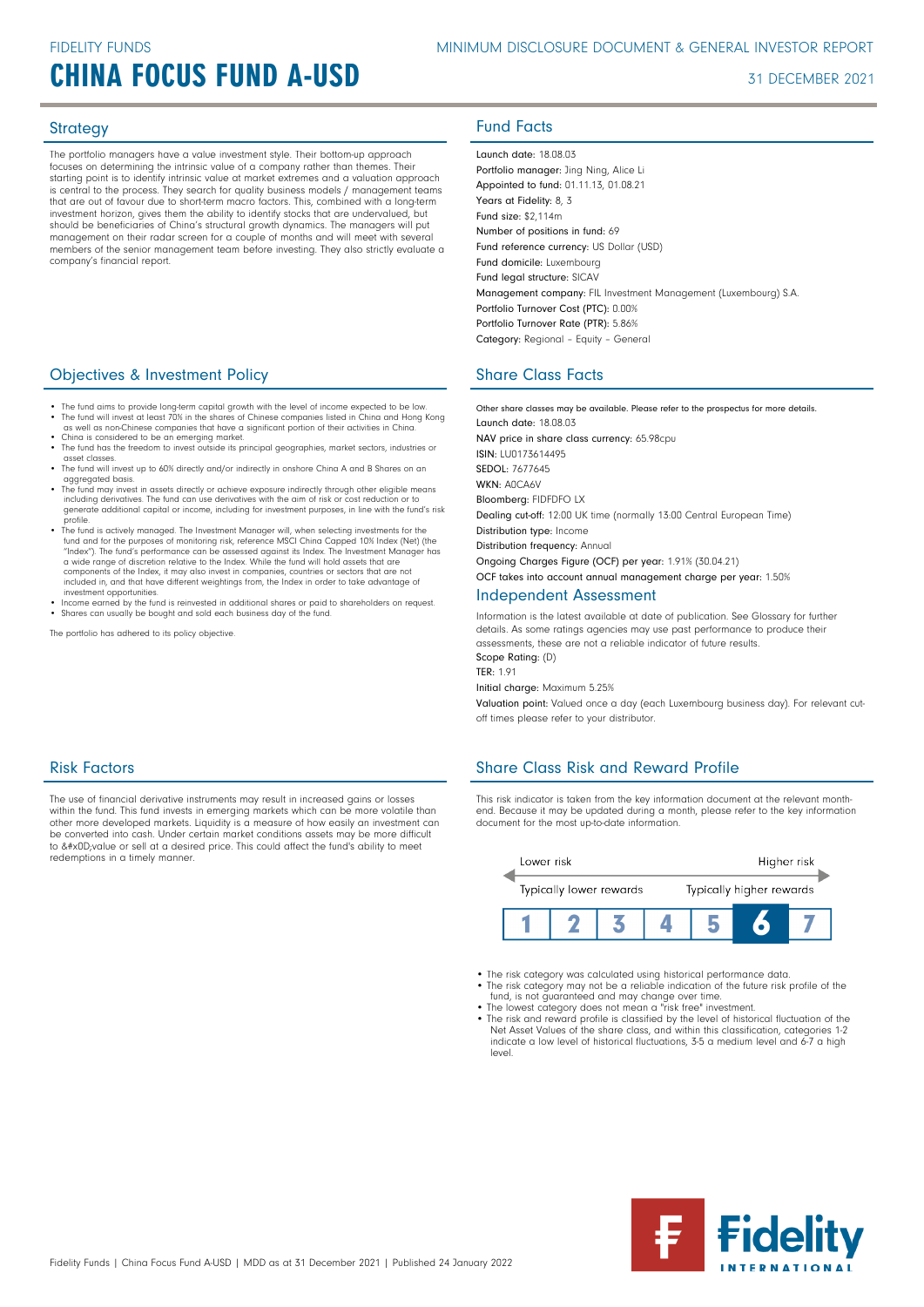## **CHINA FOCUS FUND A-USD** 31 DECEMBER 2021

The portfolio managers have a value investment style. Their bottom-up approach focuses on determining the intrinsic value of a company rather than themes. Their starting point is to identify intrinsic value at market extremes and a valuation approach is central to the process. They search for quality business models / management teams that are out of favour due to short-term macro factors. This, combined with a long-term investment horizon, gives them the ability to identify stocks that are undervalued, but should be beneficiaries of China's structural growth dynamics. The managers will put management on their radar screen for a couple of months and will meet with several members of the senior management team before investing. They also strictly evaluate a company's financial report.

## **Objectives & Investment Policy Share Class Facts** Share Class Facts

- The fund aims to provide long-term capital growth with the level of income expected to be low. • The fund will invest at least 70% in the shares of Chinese companies listed in China and Hong Kong as well as non-Chinese companies that have a significant portion of their activities in China.
- 
- China is considered to be an emerging market. The fund has the freedom to invest outside its principal geographies, market sectors, industries or asset classes.
- The fund will invest up to 60% directly and/or indirectly in onshore China A and B Shares on an aggregated basis.
- The fund may invest in assets directly or achieve exposure indirectly through other eligible means including derivatives. The fund can use derivatives with the aim of risk or cost reduction or to generate additional capital or income, including for investment purposes, in line with the fund's risk profile.
- The fund is actively managed. The Investment Manager will, when selecting investments for the fund and for the purposes of monitoring risk, reference MSCI China Capped 10% Index (Net) (the "Index"). The fund's performance can be assessed against its Index. The Investment Manager has a wide range of discretion relative to the Index. While the fund will hold assets that are components of the Index, it may also invest in companies, countries or sectors that are not included in, and that have different weightings from, the Index in order to take advantage of investment opportunities.
- Income earned by the fund is reinvested in additional shares or paid to shareholders on request. Shares can usually be bought and sold each business day of the fund.

The portfolio has adhered to its policy objective.

## Strategy **Fund Facts**

Launch date: 18.08.03

Portfolio manager: Jing Ning, Alice Li Appointed to fund: 01.11.13, 01.08.21 Years at Fidelity: 8, 3 Fund size: \$2,114m Number of positions in fund: 69 Fund reference currency: US Dollar (USD) Fund domicile: Luxembourg Fund legal structure: SICAV Management company: FIL Investment Management (Luxembourg) S.A. Portfolio Turnover Cost (PTC): 0.00% Portfolio Turnover Rate (PTR): 5.86% Category: Regional – Equity – General

Other share classes may be available. Please refer to the prospectus for more details. Launch date: 18.08.03 NAV price in share class currency: 65.98cpu ISIN: LU0173614495 SEDOL: 7677645 WKN- ANCA6V Bloomberg: FIDFDFO LX Dealing cut-off: 12:00 UK time (normally 13:00 Central European Time) Distribution type: Income Distribution frequency: Annual Ongoing Charges Figure (OCF) per year: 1.91% (30.04.21) OCF takes into account annual management charge per year: 1.50%

## Independent Assessment

Information is the latest available at date of publication. See Glossary for further details. As some ratings agencies may use past performance to produce their assessments, these are not a reliable indicator of future results. Scope Rating: (D)

TER: 1.91

Initial charge: Maximum 5.25%

Valuation point: Valued once a day (each Luxembourg business day). For relevant cutoff times please refer to your distributor.

## Share Class Risk and Reward Profile

This risk indicator is taken from the key information document at the relevant monthend. Because it may be updated during a month, please refer to the key information document for the most up-to-date information.



- The risk category was calculated using historical performance data.
- The risk category may not be a reliable indication of the future risk profile of the fund, is not guaranteed and may change over time. The lowest category does not mean a "risk free" investment.
- 
- The risk and reward profile is classified by the level of historical fluctuation of the Net Asset Values of the share class, and within this classification, categories 1-2 indicate a low level of historical fluctuations, 3-5 a medium level and 6-7 a high level.



## Risk Factors

The use of financial derivative instruments may result in increased gains or losses within the fund. This fund invests in emerging markets which can be more volatile than other more developed markets. Liquidity is a measure of how easily an investment can be converted into cash. Under certain market conditions assets may be more difficult<br>to &#x0D;value or sell at a desired price. This could affect the fund's ability to meet redemptions in a timely manner.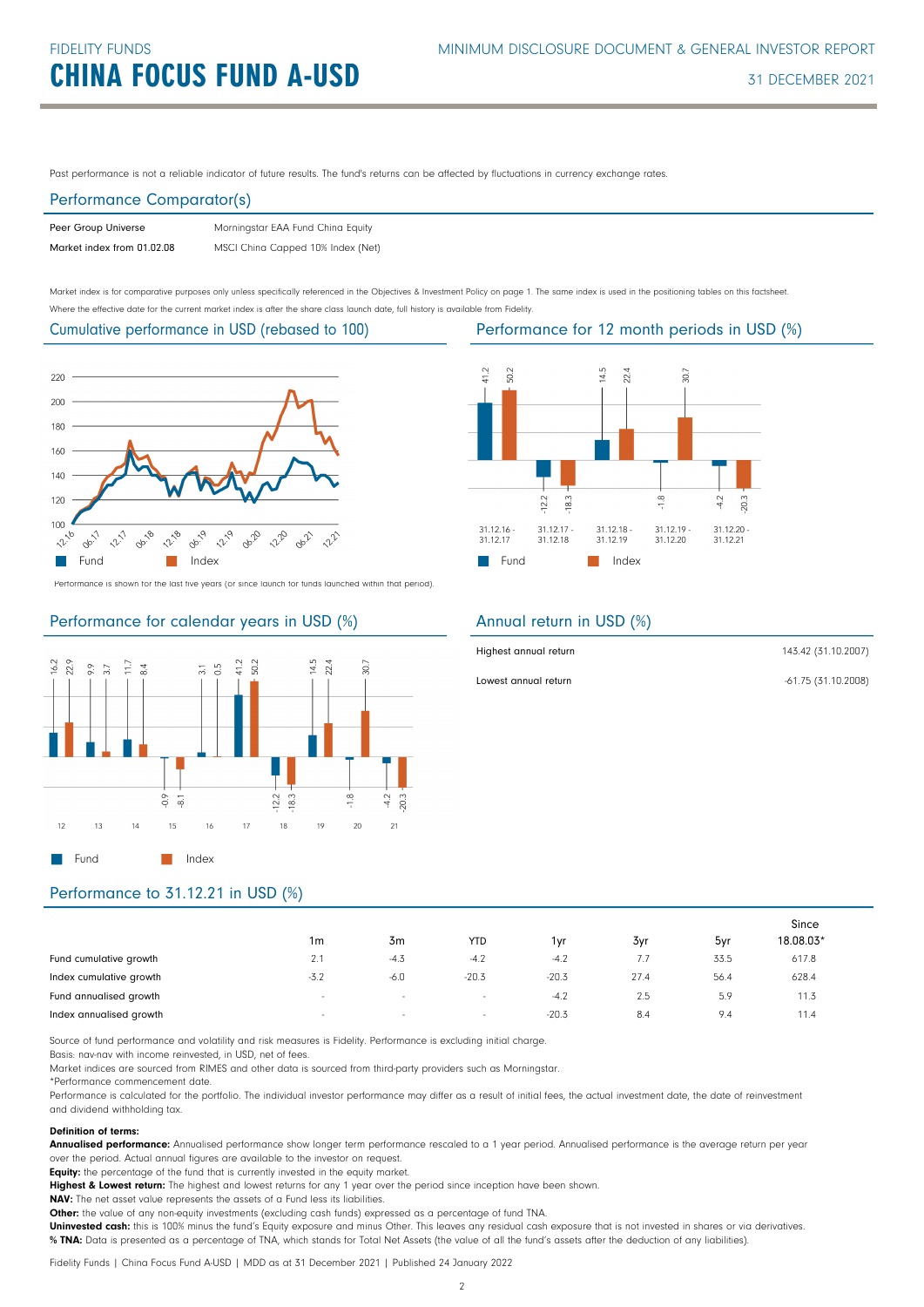Past performance is not a reliable indicator of future results. The fund's returns can be affected by fluctuations in currency exchange rates.

## Performance Comparator(s)

| Peer Group Universe        | Morningstar EAA Fund China Equity |
|----------------------------|-----------------------------------|
| Market index from 01.02.08 | MSCI China Capped 10% Index (Net) |

Market index is for comparative purposes only unless specifically referenced in the Objectives & Investment Policy on page 1. The same index is used in the positioning tables on this factsheet. Where the effective date for the current market index is after the share class launch date, full history is available from Fidelity.

Cumulative performance in USD (rebased to 100)



Performance is shown for the last five years (or since launch for funds launched within that period).

## Performance for calendar years in USD (%)



## Performance for 12 month periods in USD (%)



## Annual return in USD (%)

| Highest annual return | 143.42 (31.10.2007) |
|-----------------------|---------------------|
| Lowest annual return  | -61.75 (31.10.2008) |

## Performance to 31.12.21 in USD (%)

|                         | 1 <sub>m</sub> | 3m                       | <b>YTD</b>               | 1vr     | 3yr           | 5yr  | Since<br>18.08.03* |
|-------------------------|----------------|--------------------------|--------------------------|---------|---------------|------|--------------------|
| Fund cumulative growth  | 2.1            | $-4.3$                   | $-4.2$                   | $-4.2$  | $\frac{1}{2}$ | 33.5 | 617.8              |
| Index cumulative growth | $-3.2$         | $-6.0$                   | $-20.3$                  | $-20.3$ | 27.4          | 56.4 | 628.4              |
| Fund annualised growth  | $\sim$         | $\overline{\phantom{a}}$ | $\overline{\phantom{a}}$ | $-4.2$  | 2.5           | 5.9  | 11.3               |
| Index annualised growth | $\sim$         | $\sim$                   | $\overline{\phantom{a}}$ | $-20.3$ | 8.4           | 9.4  | 11.4               |

Source of fund performance and volatility and risk measures is Fidelity. Performance is excluding initial charge.

Basis: nav-nav with income reinvested, in USD, net of fees.

Market indices are sourced from RIMES and other data is sourced from third-party providers such as Morningstar.

\*Performance commencement date.

Performance is calculated for the portfolio. The individual investor performance may differ as a result of initial fees, the actual investment date, the date of reinvestment and dividend withholding tax.

## Definition of terms:

Annualised performance: Annualised performance show longer term performance rescaled to a 1 year period. Annualised performance is the average return per year over the period. Actual annual figures are available to the investor on request.

Equity: the percentage of the fund that is currently invested in the equity market.

Highest & Lowest return: The highest and lowest returns for any 1 year over the period since inception have been shown.

NAV: The net asset value represents the assets of a Fund less its liabilities.

Other: the value of any non-equity investments (excluding cash funds) expressed as a percentage of fund TNA.

Uninvested cash: this is 100% minus the fund's Equity exposure and minus Other. This leaves any residual cash exposure that is not invested in shares or via derivatives. % TNA: Data is presented as a percentage of TNA, which stands for Total Net Assets (the value of all the fund's assets after the deduction of any liabilities).

Fidelity Funds | China Focus Fund A-USD | MDD as at 31 December 2021 | Published 24 January 2022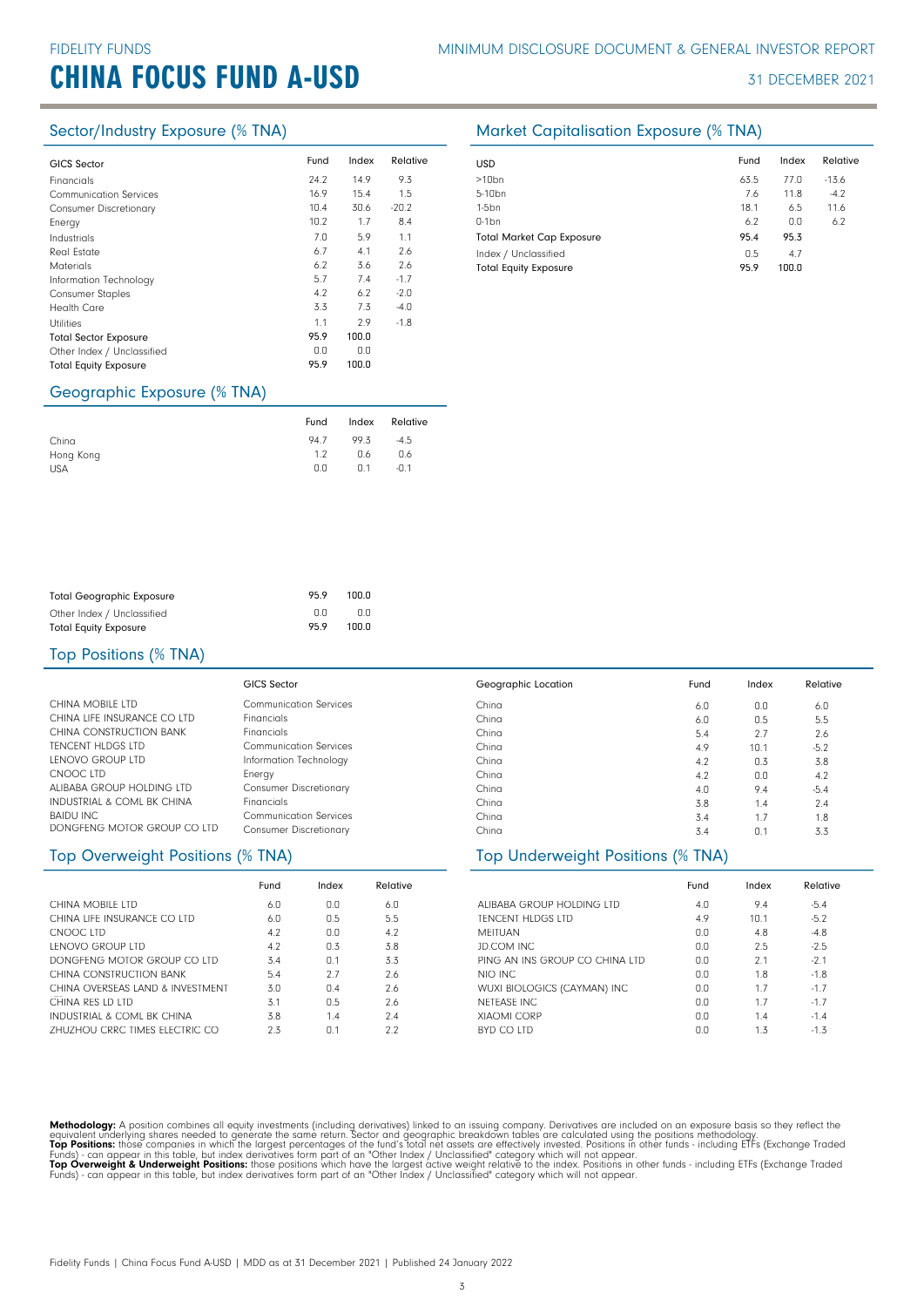# **CHINA FOCUS FUND A-USD** 31 DECEMBER 2021

| <b>GICS Sector</b>            | Fund | Index | Relative |
|-------------------------------|------|-------|----------|
| Financials                    | 24.2 | 14.9  | 9.3      |
| <b>Communication Services</b> | 16.9 | 15.4  | 1.5      |
| <b>Consumer Discretionary</b> | 10.4 | 30.6  | $-20.2$  |
| Energy                        | 10.2 | 1.7   | 8.4      |
| Industrials                   | 7.0  | 5.9   | 1.1      |
| <b>Real Estate</b>            | 6.7  | 4.1   | 2.6      |
| <b>Materials</b>              | 6.2  | 3.6   | 2.6      |
| Information Technology        | 5.7  | 7.4   | $-1.7$   |
| <b>Consumer Staples</b>       | 4.2  | 6.2   | $-2.0$   |
| <b>Health Care</b>            | 3.3  | 7.3   | $-4.0$   |
| <b>Utilities</b>              | 1.1  | 2.9   | $-1.8$   |
| <b>Total Sector Exposure</b>  | 95.9 | 100.0 |          |
| Other Index / Unclassified    | 0.0  | 0.0   |          |
| <b>Total Equity Exposure</b>  | 95.9 | 100.0 |          |
|                               |      |       |          |

## Geographic Exposure (% TNA)

|            | Fund | Index | Relative |
|------------|------|-------|----------|
| China      | 94.7 | 99.3  | $-4.5$   |
| Hong Kong  | 1.2  | 0.6   | 0.6      |
| <b>USA</b> | 0.0  | 0.1   | $-0.1$   |

## Sector/Industry Exposure (% TNA) Market Capitalisation Exposure (% TNA)

| <b>USD</b>                       | Fund | Index | Relative |
|----------------------------------|------|-------|----------|
| $>10$ bn                         | 63.5 | 77.0  | $-13.6$  |
| 5-10 <sub>bn</sub>               | 7.6  | 11.8  | $-4.2$   |
| $1-5$ bn                         | 18.1 | 6.5   | 11.6     |
| $0-1$ bn                         | 6.2  | 0.0   | 6.2      |
| <b>Total Market Cap Exposure</b> | 95.4 | 95.3  |          |
| Index / Unclassified             | 0.5  | 4.7   |          |
| <b>Total Equity Exposure</b>     | 95.9 | 100.0 |          |

| <b>Total Geographic Exposure</b> | 95.9 | 100.0 |
|----------------------------------|------|-------|
| Other Index / Unclassified       | n n  | n n   |
| <b>Total Equity Exposure</b>     | 959  | 100.0 |

## Top Positions (% TNA)

|                                       | GICS Sector                   | Geographic Location | Fund | Index | Relative |
|---------------------------------------|-------------------------------|---------------------|------|-------|----------|
| CHINA MOBILE LTD                      | <b>Communication Services</b> | China               | 6.0  | 0.0   | 6.0      |
| CHINA LIFE INSURANCE CO LTD           | <b>Financials</b>             | China               | 6.0  | 0.5   | 5.5      |
| CHINA CONSTRUCTION BANK               | <b>Financials</b>             | China               | 5.4  | 2.7   | 2.6      |
| TENCENT HLDGS LTD                     | <b>Communication Services</b> | China               | 4.9  | 10.1  | $-5.2$   |
| LENOVO GROUP LTD                      | Information Technology        | China               | 4.2  | 0.3   | 3.8      |
| CNOOC LTD                             | Energy                        | China               | 4.2  | 0.0   | 4.2      |
| ALIBABA GROUP HOLDING LTD             | <b>Consumer Discretionary</b> | China               | 4.0  | 9.4   | $-5.4$   |
| <b>INDUSTRIAL &amp; COML BK CHINA</b> | <b>Financials</b>             | China               | 3.8  | 1.4   | 2.4      |
| <b>BAIDU INC</b>                      | Communication Services        | China               | 3.4  | 1.7   | 1.8      |
| DONGFENG MOTOR GROUP CO LTD           | <b>Consumer Discretionary</b> | China               | 3.4  | 0.1   | 3.3      |

## Top Overweight Positions (% TNA)

|                                       | Fund | Index | Relative |
|---------------------------------------|------|-------|----------|
| CHINA MOBILE LTD                      | 6.0  | 0.0   | 6.0      |
| CHINA LIFF INSURANCE CO LTD           | 6.0  | 0.5   | 5.5      |
| CNOOC LTD                             | 4.2  | 0.0   | 4.2      |
| LENOVO GROUP LTD                      | 4.2  | 0.3   | 3.8      |
| DONGFENG MOTOR GROUP CO LTD           | 34   | 0.1   | 3.3      |
| CHINA CONSTRUCTION BANK               | 5.4  | 2.7   | 2.6      |
| CHINA OVERSEAS LAND & INVESTMENT      | 3.0  | 0.4   | 2.6      |
| CHINA RFS LD LTD                      | 31   | 0.5   | 2.6      |
| INDUSTRIAL & COML BK CHINA            | 3.8  | 1.4   | 7.4      |
| <b>7HU7HOU CRRC TIMES FLECTRIC CO</b> | 2.3  | N 1   | 2.2      |

| China                             | 4.9  | 10.1  | $-5.2$   |  |
|-----------------------------------|------|-------|----------|--|
| China                             | 4.2  | 0.3   | 3.8      |  |
| China                             | 4.2  | 0.0   | 4.2      |  |
| China                             | 4.0  | 9.4   | $-5.4$   |  |
| China                             | 3.8  | 1.4   | 2.4      |  |
| China                             | 3.4  | 1.7   | 1.8      |  |
| China                             | 3.4  | 0.1   | 3.3      |  |
|                                   |      |       |          |  |
| Top Underweight Positions (% TNA) |      |       |          |  |
|                                   | Fund | Index | Relative |  |
| ALIBABA GROUP HOLDING LTD         | 4.0  | 9.4   | $-5.4$   |  |
| <b>TENCENT HLDGS LTD</b>          | 4.9  | 10.1  | $-5.2$   |  |
| <b>MEITUAN</b>                    | 0.0  | 4.8   | $-4.8$   |  |

| JD.COM INC                     | 0.0 | 2.5 | $-2.5$ |
|--------------------------------|-----|-----|--------|
| PING AN INS GROUP CO CHINA LTD | 0.0 | 21  | $-21$  |
| NIO INC                        | 0.0 | 18  | $-1.8$ |
| WUXI BIOLOGICS (CAYMAN) INC    | 0.0 | 17  | $-1.7$ |
| NETEASE INC                    | 0.0 | 17  | $-1.7$ |
| <b>XIAOMI CORP</b>             | 0.0 | 14  | $-1.4$ |
| BYD CO LTD                     | 0.0 | 1.3 | $-1.3$ |

Methodology: A position combines all equity investments (including derivatives) linked to an issuing company. Derivatives are included on an exposure basis so they reflect the<br>equivalent underlying shares needed to generat